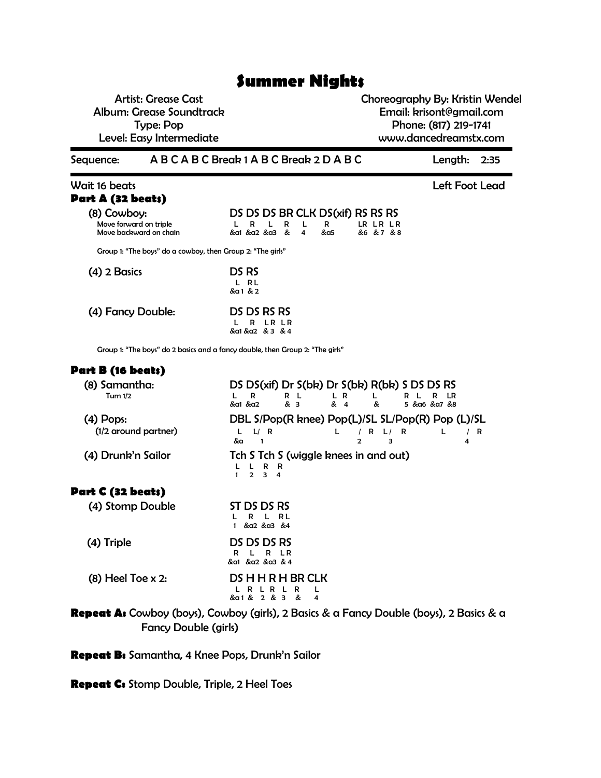# **Summer Nights**

Artist: Grease Cast Album: Grease Soundtrack Type: Pop Level: Easy Intermediate

Choreography By: Kristin Wendel Email: krisont@gmail.com Phone: (817) 219-1741 www.dancedreamstx.com

Sequence: A B C A B C Break 1 A B C Break 2 D A B C Length: 2:35

Wait 16 beats Left Foot Lead **Part A (32 beats)** (8) Cowboy: DS DS DS BR CLK DS(xif) RS RS RS Nove forward on triple<br>  $L \quad R \quad L \quad R \quad L \quad R$ Move forward on triple LRL RLRL RLRLRLR Move backward on chain &a1 &a2 &a3 & 4 &a5 &6 & 7 & 8 Group 1: "The boys" do a cowboy, then Group 2: "The girls"

| $(4)$ 2 Basics    | DS RS<br>L RL<br>&a 1 & 2                 |
|-------------------|-------------------------------------------|
| (4) Fancy Double: | DS DS RS RS<br>R LR LR<br>&a1 &a2 & 3 & 4 |

Group 1: "The boys" do 2 basics and a fancy double, then Group 2: "The girls"

### **Part B (16 beats)**

| (8) Samantha:<br><b>Turn 1/2</b>    | DS DS(xif) Dr S(bk) Dr S(bk) R(bk) S DS DS RS<br>R<br>R L<br>L R<br>LR<br>R<br>& 3<br>&a1 &a2<br>& 4<br>&<br>5 &α6 &α7 &8 |
|-------------------------------------|---------------------------------------------------------------------------------------------------------------------------|
| $(4)$ Pops:<br>(1/2 around partner) | DBL S/Pop(R knee) Pop(L)/SL SL/Pop(R) Pop (L)/SL<br>L/R<br>L.<br>R<br>R<br>R<br>&a<br>2<br>з<br>-1<br>4                   |
| (4) Drunk'n Sailor                  | Tch S Tch S (wiggle knees in and out)<br>R<br>R<br>$\overline{2}$<br>з<br>4                                               |
| Part C (32 beats)                   |                                                                                                                           |
| (4) Stomp Double                    | ST DS DS RS<br>R L<br>R<br>&α2 &α3 &4                                                                                     |
| (4) Triple                          | DS DS DS RS<br>L R<br>R<br>R<br>&a1 &a2 &a3 & 4                                                                           |
| $(8)$ Heel Toe x 2:                 | <b>DS H H R H BR CLK</b><br>&a1 &<br>2 & 3<br>&<br>4                                                                      |

**Repeat A:** Cowboy (boys), Cowboy (girls), 2 Basics & a Fancy Double (boys), 2 Basics & a Fancy Double (girls)

**Repeat B:** Samantha, 4 Knee Pops, Drunk'n Sailor

**Repeat C:** Stomp Double, Triple, 2 Heel Toes